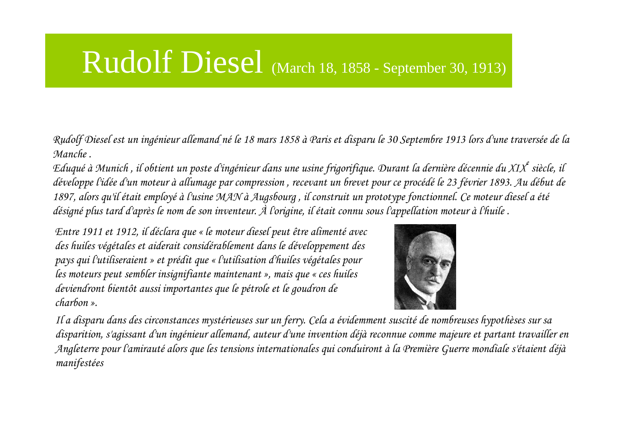## Rudolf Diesel (March 18, 1858 - September 30, 1913)

Rudolf Diesel est un ingénieur allemand né le 18 mars 1858 à Paris et disparu le 30 Septembre 1913 lors d'une traversée de la Manche .

Eduqué à Munich, il obtient un poste d'ingénieur dans une usine frigorifique. Durant la dernière décennie du XIX<sup>e</sup> siècle, il développe l'idée d'un moteur à allumage par compression , recevant un brevet pour ce procédé le 23 février 1893. Au début de 1897, alors qu'il était employé <sup>à</sup> l'usine MAN à Augsbourg , il construit un prototype fonctionnel. Ce moteur diesel a été désigné <sup>p</sup>lus tard d'après le nom de son inventeur. À l'origine, il était connu sous l'appellation moteur à l'huile .

Entre 1911 et 1912, il déclara que « le moteur diesel peut être alimenté avec des huiles végétales et aiderait considérablement dans le développement des pays qui l'utiliseraient » et prédit que « l'utilisation d'huiles végétales pour les moteurs peut sembler insignifiante maintenant », mais que « ces huiles deviendront bientôt aussi importantes que le pétrole et le goudron de charbon ».



Il a disparu dans des circonstances mystérieuses sur un ferry. Cela a évidemment suscité de nombreuses hypothèses sur sa disparition, s'agissant d'un ingénieur allemand, auteur d'une invention déjà reconnue comme majeure et partant travailler en Angleterre pour l'amirauté alors que les tensions internationales qui conduiront à la Première Guerre mondiale s'étaient déjà manifestées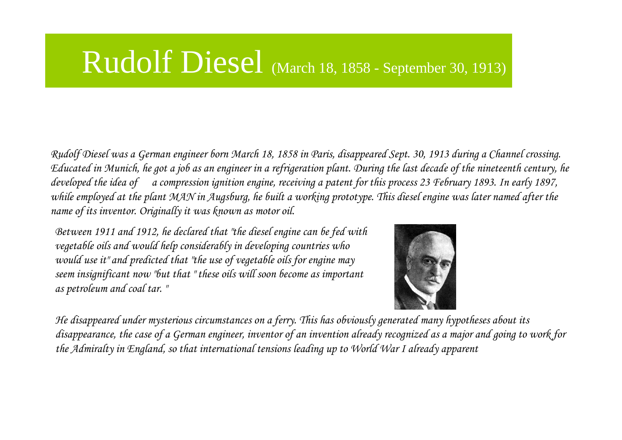## Rudolf Diesel (March 18, 1858 - September 30, 1913)

Rudolf Diesel was a German engineer born March 18, 1858 in Paris, disappeared Sept. 30, 1913 during a Channel crossing. Educated in Munich, he got a job as an engineer in a refrigeration plant. During the last decade of the nineteenth century, he developed the idea of a compression ignition engine, receiving a patent for this process 23 February 1893. In early 1897, while employed at the plant MAN in Augsburg, he built a working prototype. This diesel engine was later named after the name of its inventor. Originally it was known as motor oil.

Between 1911 and 1912, he declared that "the diesel engine can be fed with vegetable oils and would help considerably in developing countries who would use it" and predicted that "the use of vegetable oils for engine may seem insignificant now "but that " these oils will soon become as important as petroleum and coal tar. "



He disappeared under mysterious circumstances on a ferry. This has obviously generated many hypotheses about its disappearance, the case of a German engineer, inventor of an invention already recognized as a major and going to work for the Admiralty in England, so that international tensions leading up to World War I already apparent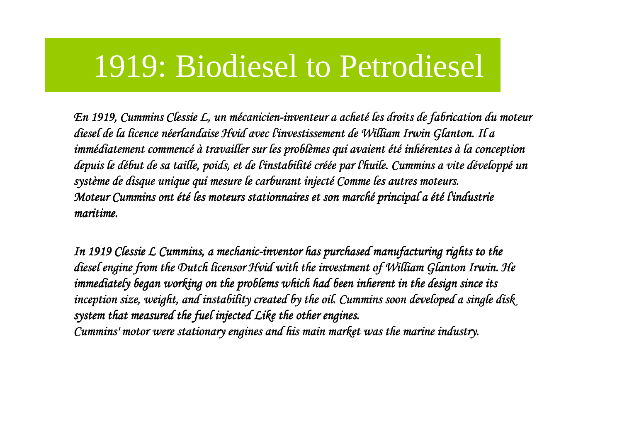## 1919: Biodiesel to Petrodiesel

En 1919, Cummins Clessie L, un mécanicien-inventeur a acheté les droits de fabrication du moteur<br> de fabrication du moteur achienne de fabrication de fabrication du moteur de fabrication du moteur diesel de la licence né de licence néerlandaise erlandaise Hvid avec l'investissement de William Irwin avec de William Irwin Glanton Glanton. Il a immédiatement commencé à travailler sur les problèmes qui avaient été inhérentes à la conception<br>les les les les problements de la conception de la conception la conception la conception la conception la con depuis le début de sa taille, poids, et de l'instabilité créée par l'huile. Cummins a vite développé un<br>Cummins de la cummination de la cum de la cummination de la cummins a vite développé un système de disque unique qui mesure le carburant injecté Comme les autres moteurs.<br>Comme les autres moteurs. Moteur Cummins ont été les moteurs stationnaires et son marché principal a été l'industrie<br>... maritime.

In 1919 Clessie L Cummins, a mechanic-inventor has purchased manufacturing rights to the inventor  $\hat{a}$ diesel engine from the Dutch licensor Hvid engine Dutch Hvid with the investment of William with the investment of William the William Glanton GlantonGlanton Irwin. He Irwin. immediately began working on the problems which had been inherent in the design since its inception size, weight, and instability created by the oil. Cummins soon developed a single disk. system that measured the fuel injected Like the other engines.

Cummins' motor were stationary engines and his main market was the marine industry.